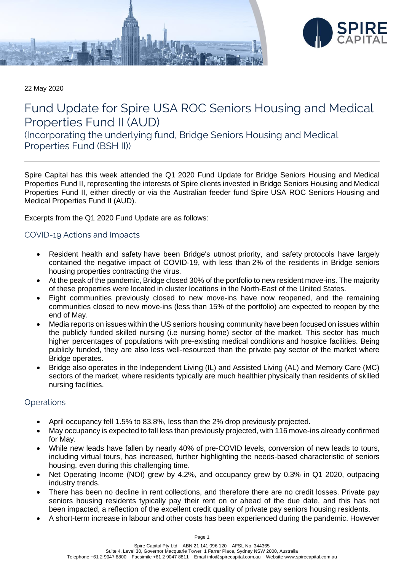



22 May 2020

# Fund Update for Spire USA ROC Seniors Housing and Medical Properties Fund II (AUD)

(Incorporating the underlying fund, Bridge Seniors Housing and Medical Properties Fund (BSH II))

Spire Capital has this week attended the Q1 2020 Fund Update for Bridge Seniors Housing and Medical Properties Fund II, representing the interests of Spire clients invested in Bridge Seniors Housing and Medical Properties Fund II, either directly or via the Australian feeder fund Spire USA ROC Seniors Housing and Medical Properties Fund II (AUD).

Excerpts from the Q1 2020 Fund Update are as follows:

# COVID-19 Actions and Impacts

- Resident health and safety have been Bridge's utmost priority, and safety protocols have largely contained the negative impact of COVID-19, with less than 2% of the residents in Bridge seniors housing properties contracting the virus.
- At the peak of the pandemic, Bridge closed 30% of the portfolio to new resident move-ins. The majority of these properties were located in cluster locations in the North-East of the United States.
- Eight communities previously closed to new move-ins have now reopened, and the remaining communities closed to new move-ins (less than 15% of the portfolio) are expected to reopen by the end of May.
- Media reports on issues within the US seniors housing community have been focused on issues within the publicly funded skilled nursing (i.e nursing home) sector of the market. This sector has much higher percentages of populations with pre-existing medical conditions and hospice facilities. Being publicly funded, they are also less well-resourced than the private pay sector of the market where Bridge operates.
- Bridge also operates in the Independent Living (IL) and Assisted Living (AL) and Memory Care (MC) sectors of the market, where residents typically are much healthier physically than residents of skilled nursing facilities.

### **Operations**

- April occupancy fell 1.5% to 83.8%, less than the 2% drop previously projected.
- May occupancy is expected to fall less than previously projected, with 116 move-ins already confirmed for May.
- While new leads have fallen by nearly 40% of pre-COVID levels, conversion of new leads to tours, including virtual tours, has increased, further highlighting the needs-based characteristic of seniors housing, even during this challenging time.
- Net Operating Income (NOI) grew by 4.2%, and occupancy grew by 0.3% in Q1 2020, outpacing industry trends.
- There has been no decline in rent collections, and therefore there are no credit losses. Private pay seniors housing residents typically pay their rent on or ahead of the due date, and this has not been impacted, a reflection of the excellent credit quality of private pay seniors housing residents.
- A short-term increase in labour and other costs has been experienced during the pandemic. However